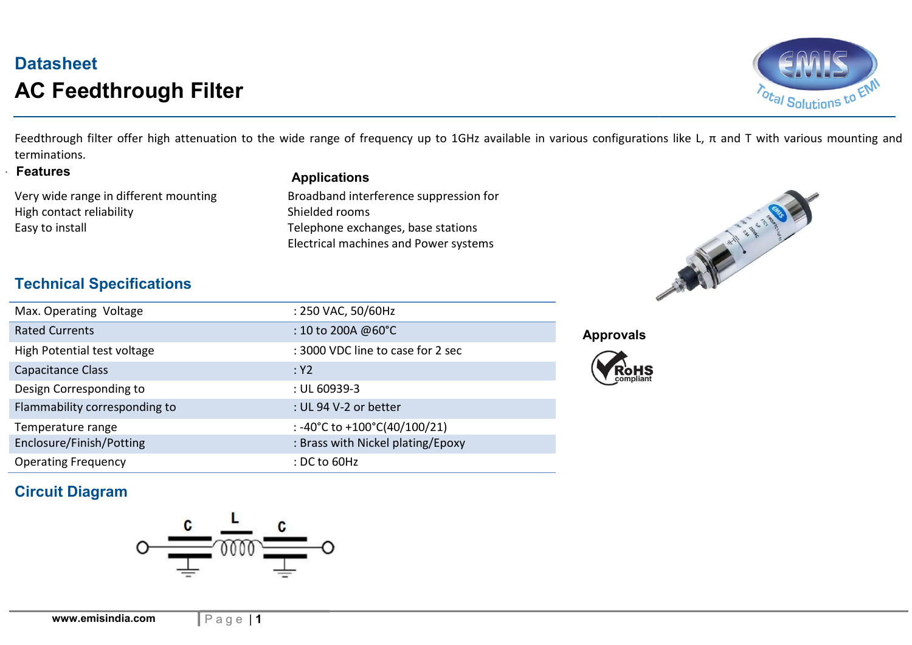# **Datasheet** AC Feedthrough Filter



Feedthrough filter offer high attenuation to the wide range of frequency up to 1GHz available in various configurations like L, π and T with various mounting and terminations.

**Features** 

Very wide range in different mounting High contact reliability and the shielded rooms Shielded rooms

#### **Applications**

Easy to install **Easy to install** and the stations of the Telephone exchanges, base stations Electrical machines and Power systems Broadband interference suppression for



#### Technical Specifications

| Max. Operating Voltage        | : 250 VAC, 50/60Hz                |
|-------------------------------|-----------------------------------|
| <b>Rated Currents</b>         | : 10 to 200A @60°C                |
| High Potential test voltage   | : 3000 VDC line to case for 2 sec |
| Capacitance Class             | :Y2                               |
| Design Corresponding to       | : UL 60939-3                      |
| Flammability corresponding to | : UL 94 V-2 or better             |
| Temperature range             | : -40°C to +100°C(40/100/21)      |
| Enclosure/Finish/Potting      | : Brass with Nickel plating/Epoxy |
| <b>Operating Frequency</b>    | $:$ DC to 60Hz                    |

#### Approvals



## Circuit Diagram